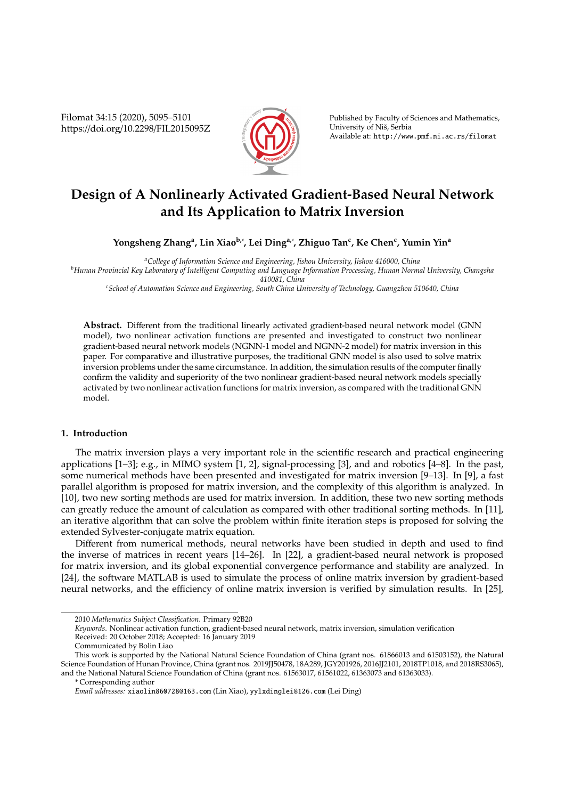Filomat 34:15 (2020), 5095–5101 https://doi.org/10.2298/FIL2015095Z



Published by Faculty of Sciences and Mathematics, University of Niš, Serbia Available at: http://www.pmf.ni.ac.rs/filomat

# **Design of A Nonlinearly Activated Gradient-Based Neural Network and Its Application to Matrix Inversion**

**Yongsheng Zhang<sup>a</sup> , Lin Xiaob,**<sup>∗</sup> **, Lei Dinga,**<sup>∗</sup> **, Zhiguo Tan<sup>c</sup> , Ke Chen<sup>c</sup> , Yumin Yin<sup>a</sup>**

*<sup>a</sup>College of Information Science and Engineering, Jishou University, Jishou 416000, China <sup>b</sup>Hunan Provincial Key Laboratory of Intelligent Computing and Language Information Processing, Hunan Normal University, Changsha 410081, China*

*<sup>c</sup>School of Automation Science and Engineering, South China University of Technology, Guangzhou 510640, China*

**Abstract.** Different from the traditional linearly activated gradient-based neural network model (GNN model), two nonlinear activation functions are presented and investigated to construct two nonlinear gradient-based neural network models (NGNN-1 model and NGNN-2 model) for matrix inversion in this paper. For comparative and illustrative purposes, the traditional GNN model is also used to solve matrix inversion problems under the same circumstance. In addition, the simulation results of the computer finally confirm the validity and superiority of the two nonlinear gradient-based neural network models specially activated by two nonlinear activation functions for matrix inversion, as compared with the traditional GNN model.

## **1. Introduction**

The matrix inversion plays a very important role in the scientific research and practical engineering applications [1–3]; e.g., in MIMO system [1, 2], signal-processing [3], and and robotics [4–8]. In the past, some numerical methods have been presented and investigated for matrix inversion [9–13]. In [9], a fast parallel algorithm is proposed for matrix inversion, and the complexity of this algorithm is analyzed. In [10], two new sorting methods are used for matrix inversion. In addition, these two new sorting methods can greatly reduce the amount of calculation as compared with other traditional sorting methods. In [11], an iterative algorithm that can solve the problem within finite iteration steps is proposed for solving the extended Sylvester-conjugate matrix equation.

Different from numerical methods, neural networks have been studied in depth and used to find the inverse of matrices in recent years [14–26]. In [22], a gradient-based neural network is proposed for matrix inversion, and its global exponential convergence performance and stability are analyzed. In [24], the software MATLAB is used to simulate the process of online matrix inversion by gradient-based neural networks, and the efficiency of online matrix inversion is verified by simulation results. In [25],

<sup>2010</sup> *Mathematics Subject Classification*. Primary 92B20

*Keywords*. Nonlinear activation function, gradient-based neural network, matrix inversion, simulation verification Received: 20 October 2018; Accepted: 16 January 2019

Communicated by Bolin Liao

This work is supported by the National Natural Science Foundation of China (grant nos. 61866013 and 61503152), the Natural Science Foundation of Hunan Province, China (grant nos. 2019JJ50478, 18A289, JGY201926, 2016JJ2101, 2018TP1018, and 2018RS3065), and the National Natural Science Foundation of China (grant nos. 61563017, 61561022, 61363073 and 61363033).

<sup>\*</sup> Corresponding author

*Email addresses:* xiaolin860728@163.com (Lin Xiao), yylxdinglei@126.com (Lei Ding)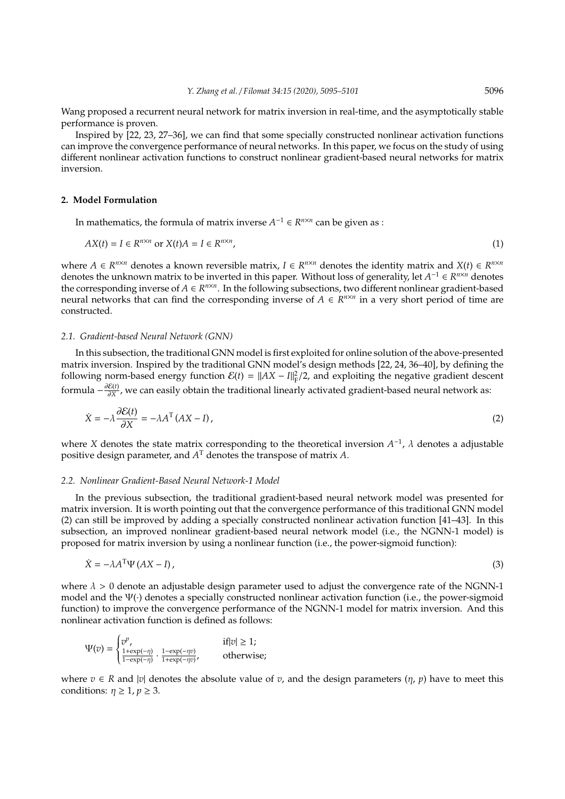Wang proposed a recurrent neural network for matrix inversion in real-time, and the asymptotically stable performance is proven.

Inspired by [22, 23, 27–36], we can find that some specially constructed nonlinear activation functions can improve the convergence performance of neural networks. In this paper, we focus on the study of using different nonlinear activation functions to construct nonlinear gradient-based neural networks for matrix inversion.

#### **2. Model Formulation**

In mathematics, the formula of matrix inverse  $A^{-1} \in R^{n \times n}$  can be given as :

$$
AX(t) = I \in R^{n \times n} \text{ or } X(t)A = I \in R^{n \times n},\tag{1}
$$

where  $A \in R^{n \times n}$  denotes a known reversible matrix,  $I \in R^{n \times n}$  denotes the identity matrix and  $X(t) \in R^{n \times n}$ denotes the unknown matrix to be inverted in this paper. Without loss of generality, let  $A^{-1} \in R^{n \times n}$  denotes the corresponding inverse of  $A \in R^{n \times n}$ . In the following subsections, two different nonlinear gradient-based neural networks that can find the corresponding inverse of  $A \in R^{n \times n}$  in a very short period of time are constructed.

## *2.1. Gradient-based Neural Network (GNN)*

In this subsection, the traditional GNN model is first exploited for online solution of the above-presented matrix inversion. Inspired by the traditional GNN model's design methods [22, 24, 36–40], by defining the following norm-based energy function  $\mathcal{E}(t) = ||AX - I||_F^2/2$ , and exploiting the negative gradient descent formula  $-\frac{\partial \mathcal{E}(t)}{\partial X}$ ∂*X* , we can easily obtain the traditional linearly activated gradient-based neural network as:

$$
\dot{X} = -\lambda \frac{\partial \mathcal{E}(t)}{\partial X} = -\lambda A^{T} (AX - I), \qquad (2)
$$

where *X* denotes the state matrix corresponding to the theoretical inversion  $A^{-1}$ ,  $\lambda$  denotes a adjustable positive design parameter, and *A* <sup>T</sup> denotes the transpose of matrix *A*.

#### *2.2. Nonlinear Gradient-Based Neural Network-1 Model*

In the previous subsection, the traditional gradient-based neural network model was presented for matrix inversion. It is worth pointing out that the convergence performance of this traditional GNN model (2) can still be improved by adding a specially constructed nonlinear activation function [41–43]. In this subsection, an improved nonlinear gradient-based neural network model (i.e., the NGNN-1 model) is proposed for matrix inversion by using a nonlinear function (i.e., the power-sigmoid function):

$$
\dot{X} = -\lambda A^{\mathrm{T}} \Psi (AX - I), \tag{3}
$$

where  $\lambda > 0$  denote an adjustable design parameter used to adjust the convergence rate of the NGNN-1 model and the Ψ(·) denotes a specially constructed nonlinear activation function (i.e., the power-sigmoid function) to improve the convergence performance of the NGNN-1 model for matrix inversion. And this nonlinear activation function is defined as follows:

$$
\Psi(v) = \begin{cases} v^p, & \text{if } |v| \ge 1; \\ \frac{1 + \exp(-\eta)}{1 - \exp(-\eta)}, & \frac{1 - \exp(-\eta v)}{1 + \exp(-\eta v)}, \end{cases}
$$
 otherwise;

where  $v \in R$  and |*v*| denotes the absolute value of *v*, and the design parameters  $(\eta, p)$  have to meet this conditions:  $\eta \geq 1$ ,  $p \geq 3$ .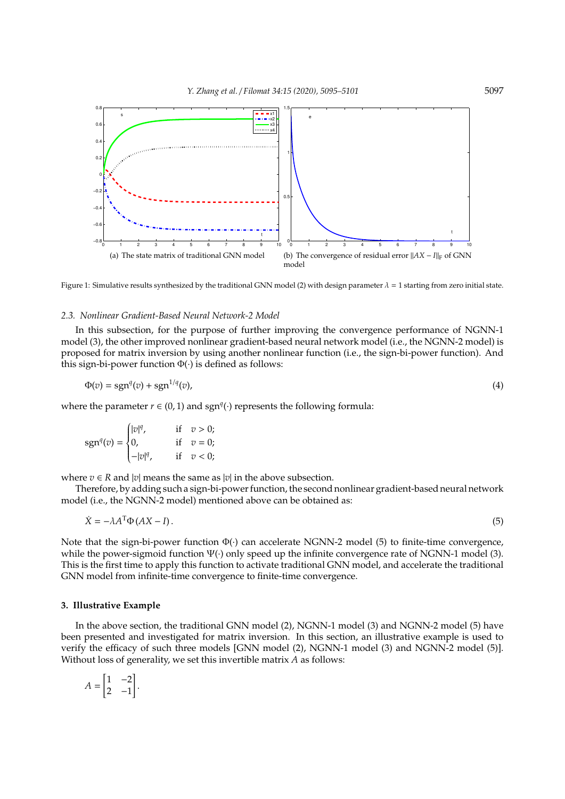

Figure 1: Simulative results synthesized by the traditional GNN model (2) with design parameter  $\lambda = 1$  starting from zero initial state.

## *2.3. Nonlinear Gradient-Based Neural Network-2 Model*

In this subsection, for the purpose of further improving the convergence performance of NGNN-1 model (3), the other improved nonlinear gradient-based neural network model (i.e., the NGNN-2 model) is proposed for matrix inversion by using another nonlinear function (i.e., the sign-bi-power function). And this sign-bi-power function  $\Phi(\cdot)$  is defined as follows:

$$
\Phi(v) = \text{sgn}^q(v) + \text{sgn}^{1/q}(v),\tag{4}
$$

where the parameter  $r \in (0, 1)$  and sgn<sup>*q*</sup>( $\cdot$ ) represents the following formula:

$$
sgn^{q}(v) = \begin{cases} |v|^{q}, & \text{if } v > 0; \\ 0, & \text{if } v = 0; \\ -|v|^{q}, & \text{if } v < 0; \end{cases}
$$

where  $v \in R$  and |*v*| means the same as |*v*| in the above subsection.

Therefore, by adding such a sign-bi-power function, the second nonlinear gradient-based neural network model (i.e., the NGNN-2 model) mentioned above can be obtained as:

$$
\dot{X} = -\lambda A^{\mathrm{T}} \Phi (AX - I). \tag{5}
$$

Note that the sign-bi-power function  $\Phi(\cdot)$  can accelerate NGNN-2 model (5) to finite-time convergence, while the power-sigmoid function Ψ(·) only speed up the infinite convergence rate of NGNN-1 model (3). This is the first time to apply this function to activate traditional GNN model, and accelerate the traditional GNN model from infinite-time convergence to finite-time convergence.

### **3. Illustrative Example**

In the above section, the traditional GNN model (2), NGNN-1 model (3) and NGNN-2 model (5) have been presented and investigated for matrix inversion. In this section, an illustrative example is used to verify the efficacy of such three models [GNN model (2), NGNN-1 model (3) and NGNN-2 model (5)]. Without loss of generality, we set this invertible matrix *A* as follows:

$$
A = \begin{bmatrix} 1 & -2 \\ 2 & -1 \end{bmatrix}.
$$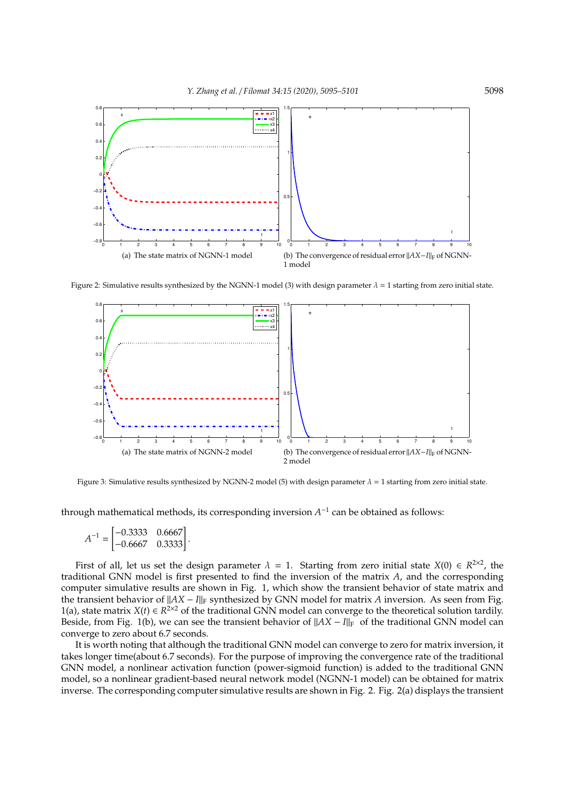

Figure 2: Simulative results synthesized by the NGNN-1 model (3) with design parameter  $\lambda = 1$  starting from zero initial state.



Figure 3: Simulative results synthesized by NGNN-2 model (5) with design parameter  $\lambda = 1$  starting from zero initial state.

through mathematical methods, its corresponding inversion  $A^{-1}$  can be obtained as follows:

$$
A^{-1} = \begin{bmatrix} -0.3333 & 0.6667 \\ -0.6667 & 0.3333 \end{bmatrix}.
$$

First of all, let us set the design parameter  $\lambda = 1$ . Starting from zero initial state  $X(0) \in R^{2 \times 2}$ , the traditional GNN model is first presented to find the inversion of the matrix *A*, and the corresponding computer simulative results are shown in Fig. 1, which show the transient behavior of state matrix and the transient behavior of  $||AX - I||_F$  synthesized by GNN model for matrix *A* inversion. As seen from Fig. 1(a), state matrix  $X(t) \in R^{2\times 2}$  of the traditional GNN model can converge to the theoretical solution tardily. Beside, from Fig. 1(b), we can see the transient behavior of  $||AX - I||_F$  of the traditional GNN model can converge to zero about 6.7 seconds.

It is worth noting that although the traditional GNN model can converge to zero for matrix inversion, it takes longer time(about 6.7 seconds). For the purpose of improving the convergence rate of the traditional GNN model, a nonlinear activation function (power-sigmoid function) is added to the traditional GNN model, so a nonlinear gradient-based neural network model (NGNN-1 model) can be obtained for matrix inverse. The corresponding computer simulative results are shown in Fig. 2. Fig. 2(a) displays the transient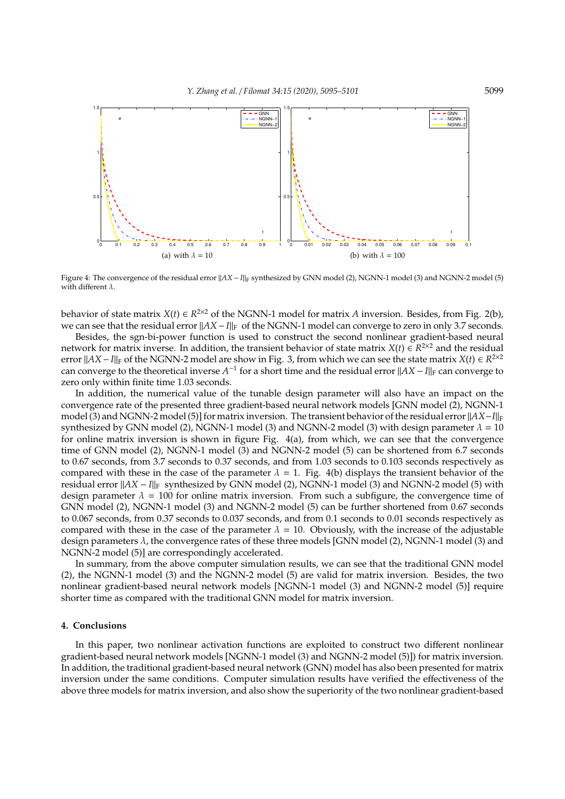

Figure 4: The convergence of the residual error  $||AX - I||_F$  synthesized by GNN model (2), NGNN-1 model (3) and NGNN-2 model (5) with different  $\lambda$ .

behavior of state matrix  $X(t) \in R^{2\times 2}$  of the NGNN-1 model for matrix *A* inversion. Besides, from Fig. 2(b), we can see that the residual error  $||AX - I||_F$  of the NGNN-1 model can converge to zero in only 3.7 seconds.

Besides, the sgn-bi-power function is used to construct the second nonlinear gradient-based neural network for matrix inverse. In addition, the transient behavior of state matrix  $X(t) \in R^{2\times 2}$  and the residual error  $||AX - I||_F$  of the NGNN-2 model are show in Fig. 3, from which we can see the state matrix *X*(*t*) ∈ *R*<sup>2×2</sup> can converge to the theoretical inverse *A*<sup>-1</sup> for a short time and the residual error ||*AX* − *I*||<sub>F</sub> can converge to zero only within finite time 1.03 seconds.

In addition, the numerical value of the tunable design parameter will also have an impact on the convergence rate of the presented three gradient-based neural network models [GNN model (2), NGNN-1 model (3) and NGNN-2 model (5)] for matrix inversion. The transient behavior of the residual error  $||AX-I||_F$ synthesized by GNN model (2), NGNN-1 model (3) and NGNN-2 model (3) with design parameter  $\lambda = 10$ for online matrix inversion is shown in figure Fig. 4(a), from which, we can see that the convergence time of GNN model (2), NGNN-1 model (3) and NGNN-2 model (5) can be shortened from 6.7 seconds to 0.67 seconds, from 3.7 seconds to 0.37 seconds, and from 1.03 seconds to 0.103 seconds respectively as compared with these in the case of the parameter  $\lambda = 1$ . Fig. 4(b) displays the transient behavior of the residual error k*AX* − *I*k<sup>F</sup> synthesized by GNN model (2), NGNN-1 model (3) and NGNN-2 model (5) with design parameter  $\lambda = 100$  for online matrix inversion. From such a subfigure, the convergence time of GNN model (2), NGNN-1 model (3) and NGNN-2 model (5) can be further shortened from 0.67 seconds to 0.067 seconds, from 0.37 seconds to 0.037 seconds, and from 0.1 seconds to 0.01 seconds respectively as compared with these in the case of the parameter  $\lambda = 10$ . Obviously, with the increase of the adjustable design parameters  $\lambda$ , the convergence rates of these three models [GNN model (2), NGNN-1 model (3) and NGNN-2 model (5)] are correspondingly accelerated.

In summary, from the above computer simulation results, we can see that the traditional GNN model (2), the NGNN-1 model (3) and the NGNN-2 model (5) are valid for matrix inversion. Besides, the two nonlinear gradient-based neural network models [NGNN-1 model (3) and NGNN-2 model (5)] require shorter time as compared with the traditional GNN model for matrix inversion.

## **4. Conclusions**

In this paper, two nonlinear activation functions are exploited to construct two different nonlinear gradient-based neural network models [NGNN-1 model (3) and NGNN-2 model (5)]) for matrix inversion. In addition, the traditional gradient-based neural network (GNN) model has also been presented for matrix inversion under the same conditions. Computer simulation results have verified the effectiveness of the above three models for matrix inversion, and also show the superiority of the two nonlinear gradient-based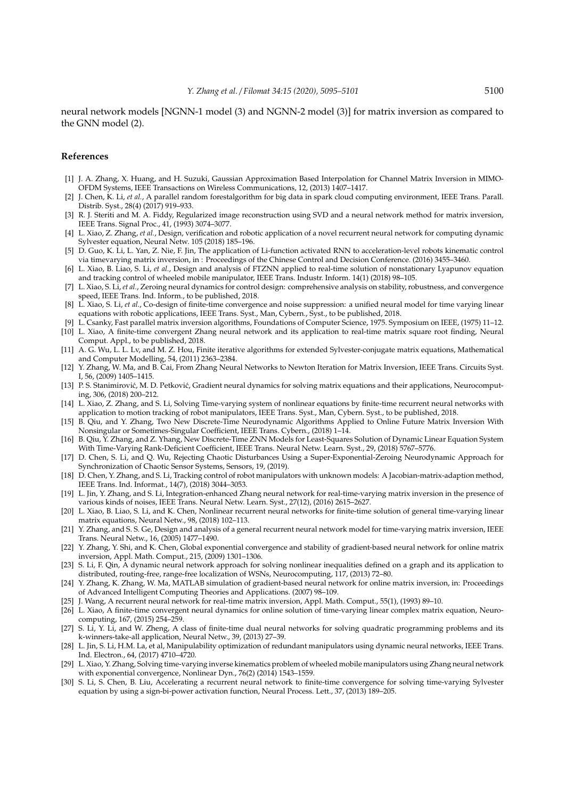neural network models [NGNN-1 model (3) and NGNN-2 model (3)] for matrix inversion as compared to the GNN model (2).

#### **References**

- [1] J. A. Zhang, X. Huang, and H. Suzuki, Gaussian Approximation Based Interpolation for Channel Matrix Inversion in MIMO-OFDM Systems, IEEE Transactions on Wireless Communications, 12, (2013) 1407–1417.
- [2] J. Chen, K. Li, *et al.*, A parallel random forestalgorithm for big data in spark cloud computing environment, IEEE Trans. Parall. Distrib. Syst., 28(4) (2017) 919–933.
- [3] R. J. Steriti and M. A. Fiddy, Regularized image reconstruction using SVD and a neural network method for matrix inversion, IEEE Trans. Signal Proc., 41, (1993) 3074–3077.
- [4] L. Xiao, Z. Zhang, *et al.*, Design, verification and robotic application of a novel recurrent neural network for computing dynamic Sylvester equation, Neural Netw. 105 (2018) 185–196.
- [5] D. Guo, K. Li, L. Yan, Z. Nie, F. Jin, The application of Li-function activated RNN to acceleration-level robots kinematic control via timevarying matrix inversion, in : Proceedings of the Chinese Control and Decision Conference. (2016) 3455–3460.
- [6] L. Xiao, B. Liao, S. Li, *et al.*, Design and analysis of FTZNN applied to real-time solution of nonstationary Lyapunov equation and tracking control of wheeled mobile manipulator, IEEE Trans. Industr. Inform. 14(1) (2018) 98–105.
- [7] L. Xiao, S. Li, *et al.*, Zeroing neural dynamics for control design: comprehensive analysis on stability, robustness, and convergence speed, IEEE Trans. Ind. Inform., to be published, 2018.
- [8] L. Xiao, S. Li, *et al.*, Co-design of finite-time convergence and noise suppression: a unified neural model for time varying linear equations with robotic applications, IEEE Trans. Syst., Man, Cybern., Syst., to be published, 2018.
- [9] L. Csanky, Fast parallel matrix inversion algorithms, Foundations of Computer Science, 1975. Symposium on IEEE, (1975) 11–12. [10] L. Xiao, A finite-time convergent Zhang neural network and its application to real-time matrix square root finding, Neural Comput. Appl., to be published, 2018.
- [11] A. G. Wu, L. L. Lv, and M. Z. Hou, Finite iterative algorithms for extended Sylvester-conjugate matrix equations, Mathematical and Computer Modelling, 54, (2011) 2363–2384.
- [12] Y. Zhang, W. Ma, and B. Cai, From Zhang Neural Networks to Newton Iteration for Matrix Inversion, IEEE Trans. Circuits Syst. I, 56, (2009) 1405–1415.
- [13] P. S. Stanimirović, M. D. Petković, Gradient neural dynamics for solving matrix equations and their applications, Neurocomputing, 306, (2018) 200–212.
- [14] L. Xiao, Z. Zhang, and S. Li, Solving Time-varying system of nonlinear equations by finite-time recurrent neural networks with application to motion tracking of robot manipulators, IEEE Trans. Syst., Man, Cybern. Syst., to be published, 2018.
- [15] B. Qiu, and Y. Zhang, Two New Discrete-Time Neurodynamic Algorithms Applied to Online Future Matrix Inversion With Nonsingular or Sometimes-Singular Coefficient, IEEE Trans. Cybern., (2018) 1–14.
- [16] B. Qiu, Y. Zhang, and Z. Yhang, New Discrete-Time ZNN Models for Least-Squares Solution of Dynamic Linear Equation System With Time-Varying Rank-Deficient Coefficient, IEEE Trans. Neural Netw. Learn. Syst., 29, (2018) 5767–5776.
- [17] D. Chen, S. Li, and Q. Wu, Rejecting Chaotic Disturbances Using a Super-Exponential-Zeroing Neurodynamic Approach for Synchronization of Chaotic Sensor Systems, Sensors, 19, (2019).
- [18] D. Chen, Y. Zhang, and S. Li, Tracking control of robot manipulators with unknown models: A Jacobian-matrix-adaption method, IEEE Trans. Ind. Informat., 14(7), (2018) 3044–3053.
- [19] L. Jin, Y. Zhang, and S. Li, Integration-enhanced Zhang neural network for real-time-varying matrix inversion in the presence of various kinds of noises, IEEE Trans. Neural Netw. Learn. Syst., 27(12), (2016) 2615–2627.
- [20] L. Xiao, B. Liao, S. Li, and K. Chen, Nonlinear recurrent neural networks for finite-time solution of general time-varying linear matrix equations, Neural Netw., 98, (2018) 102–113.
- [21] Y. Zhang, and S. S. Ge, Design and analysis of a general recurrent neural network model for time-varying matrix inversion, IEEE Trans. Neural Netw., 16, (2005) 1477–1490.
- [22] Y. Zhang, Y. Shi, and K. Chen, Global exponential convergence and stability of gradient-based neural network for online matrix inversion, Appl. Math. Comput., 215, (2009) 1301–1306.
- [23] S. Li, F. Qin, A dynamic neural network approach for solving nonlinear inequalities defined on a graph and its application to distributed, routing-free, range-free localization of WSNs, Neurocomputing, 117, (2013) 72–80.
- [24] Y. Zhang, K. Zhang, W. Ma, MATLAB simulation of gradient-based neural network for online matrix inversion, in: Proceedings of Advanced Intelligent Computing Theories and Applications. (2007) 98–109.
- [25] J. Wang, A recurrent neural network for real-time matrix inversion, Appl. Math. Comput., 55(1), (1993) 89-10.
- [26] L. Xiao, A finite-time convergent neural dynamics for online solution of time-varying linear complex matrix equation, Neurocomputing, 167, (2015) 254–259.
- [27] S. Li, Y. Li, and W. Zheng, A class of finite-time dual neural networks for solving quadratic programming problems and its k-winners-take-all application, Neural Netw., 39, (2013) 27–39.
- [28] L. Jin, S. Li, H.M. La, et al, Manipulability optimization of redundant manipulators using dynamic neural networks, IEEE Trans. Ind. Electron., 64, (2017) 4710–4720.
- [29] L. Xiao, Y. Zhang, Solving time-varying inverse kinematics problem of wheeled mobile manipulators using Zhang neural network with exponential convergence, Nonlinear Dyn., 76(2) (2014) 1543–1559.
- [30] S. Li, S. Chen, B. Liu, Accelerating a recurrent neural network to finite-time convergence for solving time-varying Sylvester equation by using a sign-bi-power activation function, Neural Process. Lett., 37, (2013) 189–205.